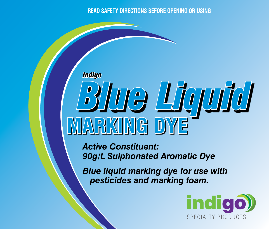# **READ SAFETY DIRECTIONS BEFORE OPENING OR USING**

# *Blue Liquid* **MARKING DYE** *Indigo*

*Active Constituent: 90g/L Sulphonated Aromatic Dye* 

*Blue liquid marking dye for use with pesticides and marking foam.*